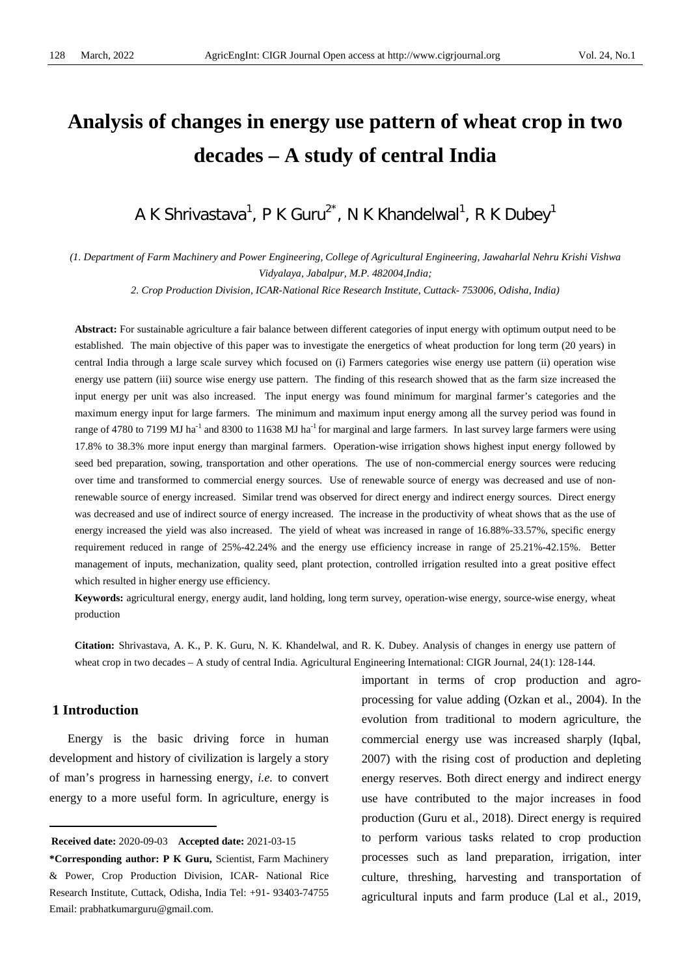# **Analysis of changes in energy use pattern of wheat crop in two decades – A study of central India**

A K Shrivastava<sup>1</sup>, P K Guru<sup>2\*</sup>, N K Khandelwal<sup>1</sup>, R K Dubey<sup>1</sup>

*(1. Department of Farm Machinery and Power Engineering, College of Agricultural Engineering, Jawaharlal Nehru Krishi Vishwa Vidyalaya, Jabalpur, M.P. 482004,India;*

*2. Crop Production Division, ICAR-National Rice Research Institute, Cuttack- 753006, Odisha, India)*

**Abstract:** For sustainable agriculture a fair balance between different categories of input energy with optimum output need to be established. The main objective of this paper was to investigate the energetics of wheat production for long term (20 years) in central India through a large scale survey which focused on (i) Farmers categories wise energy use pattern (ii) operation wise energy use pattern (iii) source wise energy use pattern. The finding of this research showed that as the farm size increased the input energy per unit was also increased. The input energy was found minimum for marginal farmer's categories and the maximum energy input for large farmers. The minimum and maximum input energy among all the survey period was found in range of 4780 to 7199 MJ ha<sup>-1</sup> and 8300 to 11638 MJ ha<sup>-1</sup> for marginal and large farmers. In last survey large farmers were using 17.8% to 38.3% more input energy than marginal farmers. Operation-wise irrigation shows highest input energy followed by seed bed preparation, sowing, transportation and other operations. The use of non-commercial energy sources were reducing over time and transformed to commercial energy sources. Use of renewable source of energy was decreased and use of nonrenewable source of energy increased. Similar trend was observed for direct energy and indirect energy sources. Direct energy was decreased and use of indirect source of energy increased. The increase in the productivity of wheat shows that as the use of energy increased the yield was also increased. The yield of wheat was increased in range of 16.88%-33.57%, specific energy requirement reduced in range of 25%-42.24% and the energy use efficiency increase in range of 25.21%-42.15%. Better management of inputs, mechanization, quality seed, plant protection, controlled irrigation resulted into a great positive effect which resulted in higher energy use efficiency.

**Keywords:** agricultural energy, energy audit, land holding, long term survey, operation-wise energy, source-wise energy, wheat production

**Citation:** Shrivastava, A. K., P. K. Guru, N. K. Khandelwal, and R. K. Dubey. Analysis of changes in energy use pattern of wheat crop in two decades – A study of central India. Agricultural Engineering International: CIGR Journal, 24(1): 128-144.

# **1 Introduction**

 $\overline{a}$ 

Energy is the basic driving force in human development and history of civilization is largely a story of man's progress in harnessing energy, *i.e.* to convert energy to a more useful form. In agriculture, energy is

<span id="page-0-0"></span>**Received date:** 2020-09-03 **Accepted date:** 2021-03-15

important in terms of crop production and agroprocessing for value adding (Ozkan et al., 2004). In the evolution from traditional to modern agriculture, the commercial energy use was increased sharply (Iqbal, 2007) with the rising cost of production and depleting energy reserves. Both direct energy and indirect energy use have contributed to the major increases in food production (Guru et al., 2018). Direct energy is required to perform various tasks related to crop production processes such as land preparation, irrigation, inter culture, threshing, harvesting and transportation of agricultural inputs and farm produce (Lal et al., 2019,

**<sup>\*</sup>Corresponding author: P K Guru,** Scientist, Farm Machinery & Power, Crop Production Division, ICAR- National Rice Research Institute, Cuttack, Odisha, India Tel: +91- 93403-74755 Email: prabhatkumarguru@gmail.com.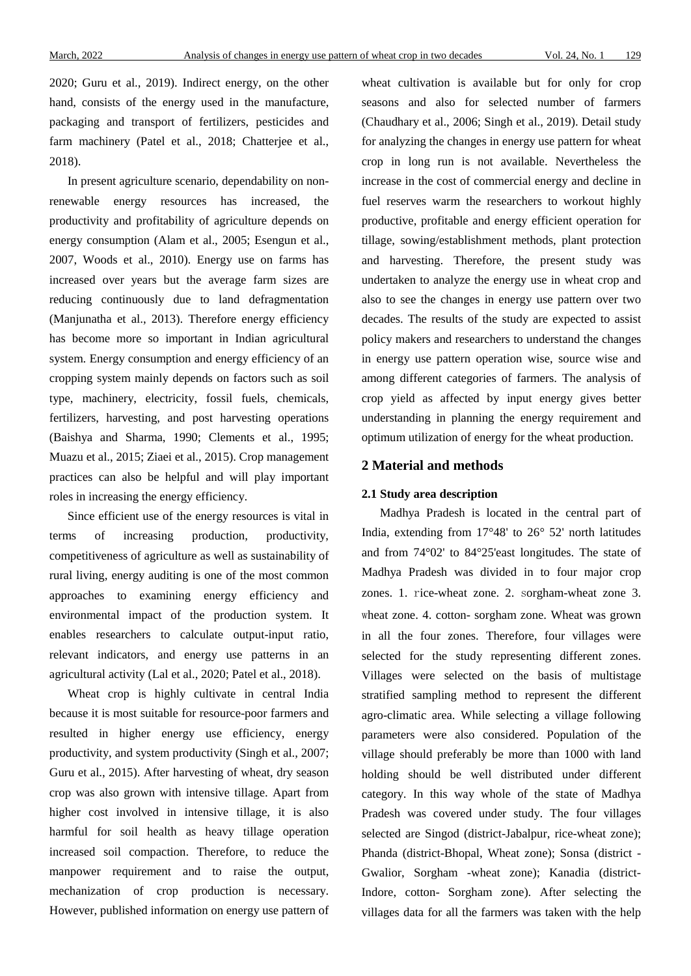2020; Guru et al., 2019). Indirect energy, on the other hand, consists of the energy used in the manufacture, packaging and transport of fertilizers, pesticides and farm machinery (Patel et al., 2018; Chatterjee et al., 2018).

In present agriculture scenario, dependability on nonrenewable energy resources has increased, the productivity and profitability of agriculture depends on energy consumption (Alam et al., 2005; Esengun et al., 2007, Woods et al., 2010). Energy use on farms has increased over years but the average farm sizes are reducing continuously due to land defragmentation (Manjunatha et al., 2013). Therefore energy efficiency has become more so important in Indian agricultural system. Energy consumption and energy efficiency of an cropping system mainly depends on factors such as soil type, machinery, electricity, fossil fuels, chemicals, fertilizers, harvesting, and post harvesting operations (Baishya and Sharma, 1990; Clements et al., 1995; Muazu et al., 2015; Ziaei et al., 2015). Crop management practices can also be helpful and will play important roles in increasing the energy efficiency.

Since efficient use of the energy resources is vital in terms of increasing production, productivity, competitiveness of agriculture as well as sustainability of rural living, energy auditing is one of the most common approaches to examining energy efficiency and environmental impact of the production system. It enables researchers to calculate output-input ratio, relevant indicators, and energy use patterns in an agricultural activity (Lal et al., 2020; Patel et al., 2018).

Wheat crop is highly cultivate in central India because it is most suitable for resource-poor farmers and resulted in higher energy use efficiency, energy productivity, and system productivity (Singh et al., 2007; Guru et al., 2015). After harvesting of wheat, dry season crop was also grown with intensive tillage. Apart from higher cost involved in intensive tillage, it is also harmful for soil health as heavy tillage operation increased soil compaction. Therefore, to reduce the manpower requirement and to raise the output, mechanization of crop production is necessary. However, published information on energy use pattern of wheat cultivation is available but for only for crop seasons and also for selected number of farmers (Chaudhary et al., 2006; Singh et al., 2019). Detail study for analyzing the changes in energy use pattern for wheat crop in long run is not available. Nevertheless the increase in the cost of commercial energy and decline in fuel reserves warm the researchers to workout highly productive, profitable and energy efficient operation for tillage, sowing/establishment methods, plant protection and harvesting. Therefore, the present study was undertaken to analyze the energy use in wheat crop and also to see the changes in energy use pattern over two decades. The results of the study are expected to assist policy makers and researchers to understand the changes in energy use pattern operation wise, source wise and among different categories of farmers. The analysis of crop yield as affected by input energy gives better understanding in planning the energy requirement and optimum utilization of energy for the wheat production.

#### **2 Material and methods**

#### **2.1 Study area description**

Madhya Pradesh is located in the central part of India, extending from 17°48' to 26° 52' north latitudes and from 74°02' to 84°25'east longitudes. The state of Madhya Pradesh was divided in to four major crop zones. 1. rice-wheat zone. 2. sorgham-wheat zone 3. wheat zone. 4. cotton- sorgham zone. Wheat was grown in all the four zones. Therefore, four villages were selected for the study representing different zones. Villages were selected on the basis of multistage stratified sampling method to represent the different agro-climatic area. While selecting a village following parameters were also considered. Population of the village should preferably be more than 1000 with land holding should be well distributed under different category. In this way whole of the state of Madhya Pradesh was covered under study. The four villages selected are Singod (district-Jabalpur, rice-wheat zone); Phanda (district-Bhopal, Wheat zone); Sonsa (district - Gwalior, Sorgham -wheat zone); Kanadia (district-Indore, cotton- Sorgham zone). After selecting the villages data for all the farmers was taken with the help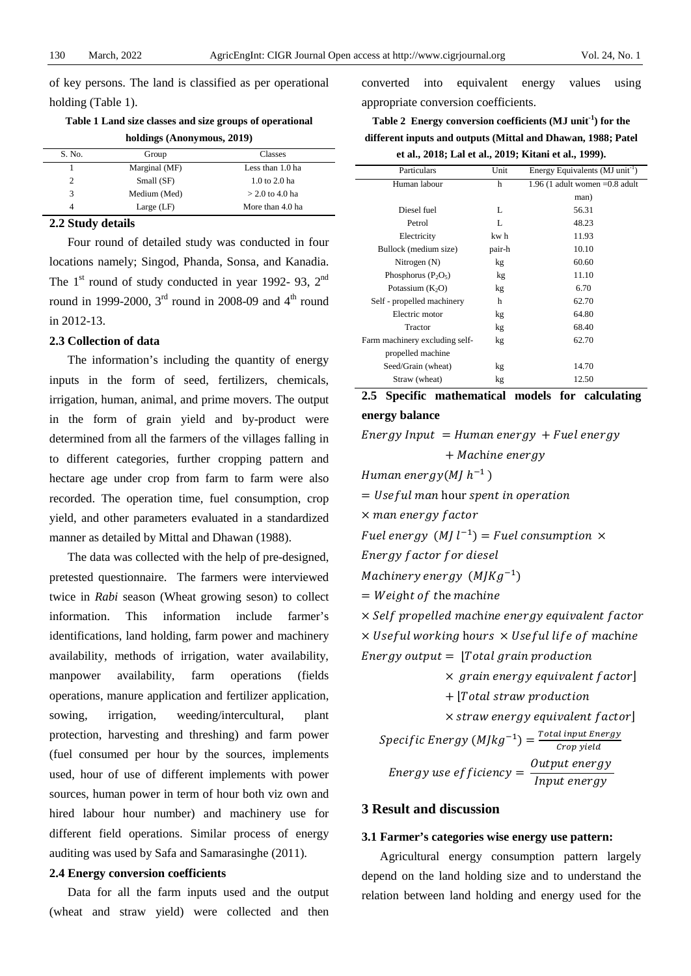of key persons. The land is classified as per operational holding (Table 1).

#### **Table 1 Land size classes and size groups of operational**

|  | holdings (Anonymous, 2019) |  |
|--|----------------------------|--|
|--|----------------------------|--|

| S. No. | Group         | Classes           |  |  |  |  |
|--------|---------------|-------------------|--|--|--|--|
|        | Marginal (MF) | Less than 1.0 ha  |  |  |  |  |
|        | Small (SF)    | 1.0 to 2.0 ha     |  |  |  |  |
| 3      | Medium (Med)  | $>$ 2.0 to 4.0 ha |  |  |  |  |
| 4      | Large $(LF)$  | More than 4.0 ha  |  |  |  |  |

#### **2.2 Study details**

Four round of detailed study was conducted in four locations namely; Singod, Phanda, Sonsa, and Kanadia. The  $1<sup>st</sup>$  round of study conducted in year 1992- 93,  $2<sup>nd</sup>$ round in 1999-2000,  $3<sup>rd</sup>$  round in 2008-09 and  $4<sup>th</sup>$  round in 2012-13.

#### **2.3 Collection of data**

The information's including the quantity of energy inputs in the form of seed, fertilizers, chemicals, irrigation, human, animal, and prime movers. The output in the form of grain yield and by-product were determined from all the farmers of the villages falling in to different categories, further cropping pattern and hectare age under crop from farm to farm were also recorded. The operation time, fuel consumption, crop yield, and other parameters evaluated in a standardized manner as detailed by Mittal and Dhawan (1988).

The data was collected with the help of pre-designed, pretested questionnaire. The farmers were interviewed twice in *Rabi* season (Wheat growing seson) to collect information. This information include farmer's identifications, land holding, farm power and machinery availability, methods of irrigation, water availability, manpower availability, farm operations (fields operations, manure application and fertilizer application, sowing, irrigation, weeding/intercultural, plant protection, harvesting and threshing) and farm power (fuel consumed per hour by the sources, implements used, hour of use of different implements with power sources, human power in term of hour both viz own and hired labour hour number) and machinery use for different field operations. Similar process of energy auditing was used by Safa and Samarasinghe (2011).

#### **2.4 Energy conversion coefficients**

Data for all the farm inputs used and the output (wheat and straw yield) were collected and then

converted into equivalent energy values using appropriate conversion coefficients.

| Table 2 Energy conversion coefficients (MJ unit <sup>-1</sup> ) for the |
|-------------------------------------------------------------------------|
| different inputs and outputs (Mittal and Dhawan, 1988; Patel            |
| et al., 2018: Lal et al., 2019: Kitani et al., 1999).                   |

| Particulars                    | Unit   | Energy Equivalents (MJ unit <sup>-1</sup> ) |
|--------------------------------|--------|---------------------------------------------|
| Human labour                   | h      | $1.96$ (1 adult women $=0.8$ adult          |
|                                |        | man)                                        |
| Diesel fuel                    | L      | 56.31                                       |
| Petrol                         | L      | 48.23                                       |
| Electricity                    | kw h   | 11.93                                       |
| Bullock (medium size)          | pair-h | 10.10                                       |
| Nitrogen (N)                   | kg     | 60.60                                       |
| Phosphorus $(P_2O_5)$          | kg     | 11.10                                       |
| Potassium $(K_2O)$             | kg     | 6.70                                        |
| Self - propelled machinery     | h      | 62.70                                       |
| Electric motor                 | kg     | 64.80                                       |
| Tractor                        | kg     | 68.40                                       |
| Farm machinery excluding self- | kg     | 62.70                                       |
| propelled machine              |        |                                             |
| Seed/Grain (wheat)             | kg     | 14.70                                       |
| Straw (wheat)                  | kg     | 12.50                                       |

## **2.5 Specific mathematical models for calculating energy balance**

 $Energy Input = Human energy + Fuel energy$ 

+ Machine energy

Human energy(MJ $h^{-1}$ )

 $=$  Useful man hour spent in operation

 $\times$  man energy factor

Fuel energy  $(MJl^{-1}) = Fuel consumption \times$ 

Energy factor for diesel

Machinery energy  $(M/Kg^{-1})$ 

 $= Weight of the machine$ 

 $\times$  Self propelled machine energy equivalent factor  $\times$  Useful working hours  $\times$  Useful life of machine Energy output  $=$  |Total grain production

 $\times$  grain energy equivalent factor]

 $+$  |Total straw production

 $\times$  straw energy equivalent factor]

 $Specific$  Energy  $(M/kg^{-1}) = \frac{Total input$  Energy *Energy use efficiency* =  $\frac{Output$  *energy* 

#### **3 Result and discussion**

#### **3.1 Farmer's categories wise energy use pattern:**

Agricultural energy consumption pattern largely depend on the land holding size and to understand the relation between land holding and energy used for the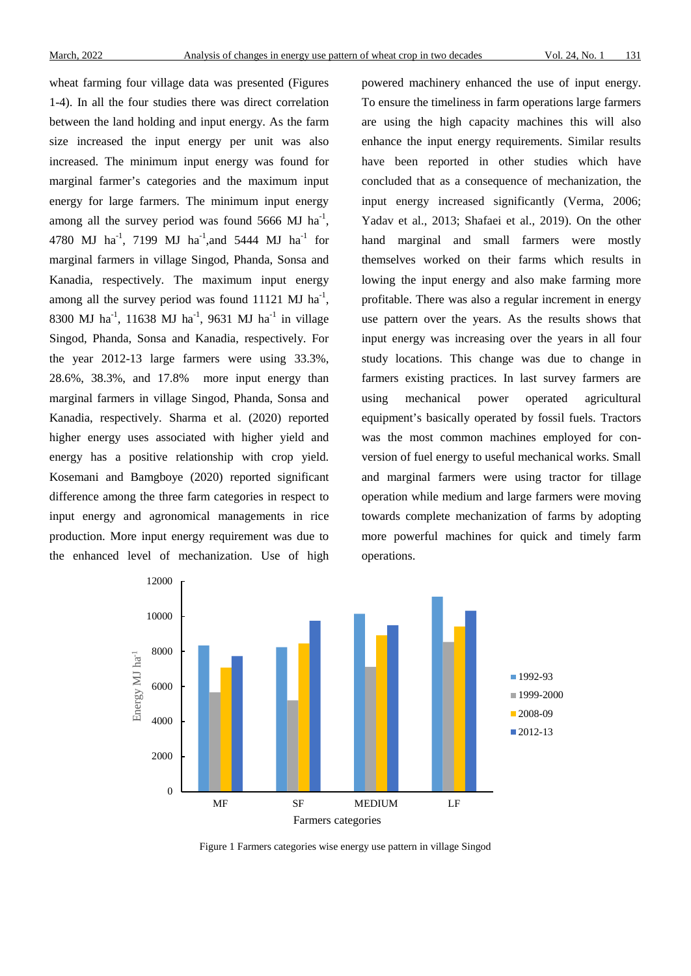wheat farming four village data was presented (Figures 1-4). In all the four studies there was direct correlation between the land holding and input energy. As the farm size increased the input energy per unit was also increased. The minimum input energy was found for marginal farmer's categories and the maximum input energy for large farmers. The minimum input energy among all the survey period was found  $5666 \text{ MJ ha}^{-1}$ , 4780 MJ ha<sup>-1</sup>, 7199 MJ ha<sup>-1</sup>, and 5444 MJ ha<sup>-1</sup> for marginal farmers in village Singod, Phanda, Sonsa and Kanadia, respectively. The maximum input energy among all the survey period was found  $11121 \text{ MJ ha}^{-1}$ , 8300 MJ ha<sup>-1</sup>, 11638 MJ ha<sup>-1</sup>, 9631 MJ ha<sup>-1</sup> in village Singod, Phanda, Sonsa and Kanadia, respectively. For the year 2012-13 large farmers were using 33.3%, 28.6%, 38.3%, and 17.8% more input energy than marginal farmers in village Singod, Phanda, Sonsa and Kanadia, respectively. Sharma et al. (2020) reported higher energy uses associated with higher yield and energy has a positive relationship with crop yield. Kosemani and Bamgboye (2020) reported significant difference among the three farm categories in respect to input energy and agronomical managements in rice production. More input energy requirement was due to the enhanced level of mechanization. Use of high

powered machinery enhanced the use of input energy. To ensure the timeliness in farm operations large farmers are using the high capacity machines this will also enhance the input energy requirements. Similar results have been reported in other studies which have concluded that as a consequence of mechanization, the input energy increased significantly (Verma, 2006; Yadav et al., 2013; Shafaei et al., 2019). On the other hand marginal and small farmers were mostly themselves worked on their farms which results in lowing the input energy and also make farming more profitable. There was also a regular increment in energy use pattern over the years. As the results shows that input energy was increasing over the years in all four study locations. This change was due to change in farmers existing practices. In last survey farmers are using mechanical power operated agricultural equipment's basically operated by fossil fuels. Tractors was the most common machines employed for conversion of fuel energy to useful mechanical works. Small and marginal farmers were using tractor for tillage operation while medium and large farmers were moving towards complete mechanization of farms by adopting more powerful machines for quick and timely farm operations.



Figure 1 Farmers categories wise energy use pattern in village Singod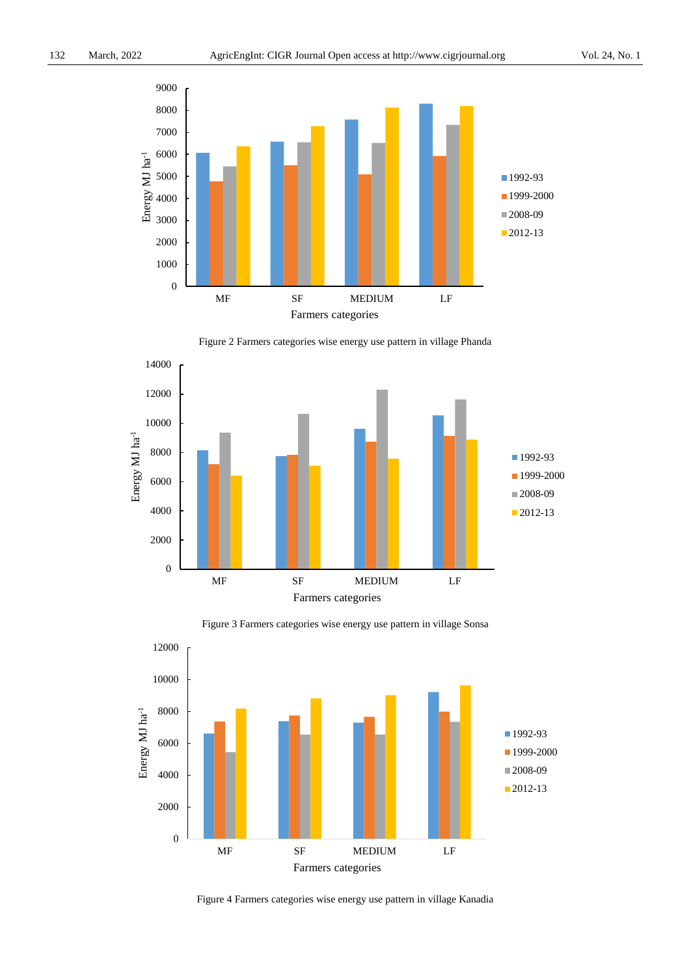

Figure 2 Farmers categories wise energy use pattern in village Phanda





Figure 3 Farmers categories wise energy use pattern in village Sonsa

Figure 4 Farmers categories wise energy use pattern in village Kanadia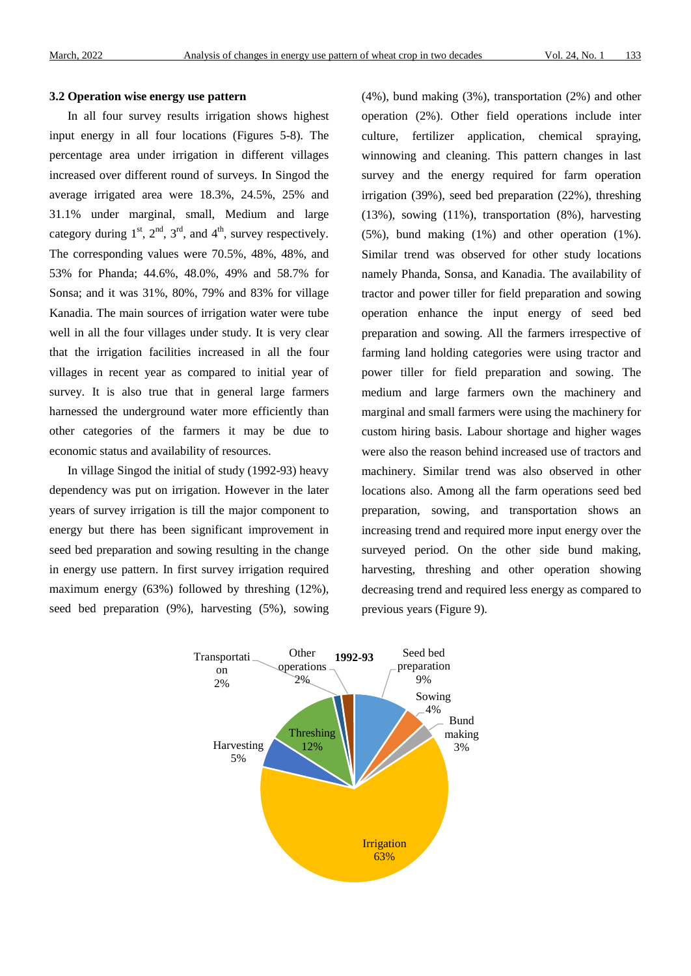#### **3.2 Operation wise energy use pattern**

In all four survey results irrigation shows highest input energy in all four locations (Figures 5-8). The percentage area under irrigation in different villages increased over different round of surveys. In Singod the average irrigated area were 18.3%, 24.5%, 25% and 31.1% under marginal, small, Medium and large category during  $1<sup>st</sup>$ ,  $2<sup>nd</sup>$ ,  $3<sup>rd</sup>$ , and  $4<sup>th</sup>$ , survey respectively. The corresponding values were 70.5%, 48%, 48%, and 53% for Phanda; 44.6%, 48.0%, 49% and 58.7% for Sonsa; and it was 31%, 80%, 79% and 83% for village Kanadia. The main sources of irrigation water were tube well in all the four villages under study. It is very clear that the irrigation facilities increased in all the four villages in recent year as compared to initial year of survey. It is also true that in general large farmers harnessed the underground water more efficiently than other categories of the farmers it may be due to economic status and availability of resources.

In village Singod the initial of study (1992-93) heavy dependency was put on irrigation. However in the later years of survey irrigation is till the major component to energy but there has been significant improvement in seed bed preparation and sowing resulting in the change in energy use pattern. In first survey irrigation required maximum energy (63%) followed by threshing (12%), seed bed preparation (9%), harvesting (5%), sowing (4%), bund making (3%), transportation (2%) and other operation (2%). Other field operations include inter culture, fertilizer application, chemical spraying, winnowing and cleaning. This pattern changes in last survey and the energy required for farm operation irrigation (39%), seed bed preparation (22%), threshing (13%), sowing (11%), transportation (8%), harvesting (5%), bund making (1%) and other operation (1%). Similar trend was observed for other study locations namely Phanda, Sonsa, and Kanadia. The availability of tractor and power tiller for field preparation and sowing operation enhance the input energy of seed bed preparation and sowing. All the farmers irrespective of farming land holding categories were using tractor and power tiller for field preparation and sowing. The medium and large farmers own the machinery and marginal and small farmers were using the machinery for custom hiring basis. Labour shortage and higher wages were also the reason behind increased use of tractors and machinery. Similar trend was also observed in other locations also. Among all the farm operations seed bed preparation, sowing, and transportation shows an increasing trend and required more input energy over the surveyed period. On the other side bund making, harvesting, threshing and other operation showing decreasing trend and required less energy as compared to previous years (Figure 9).

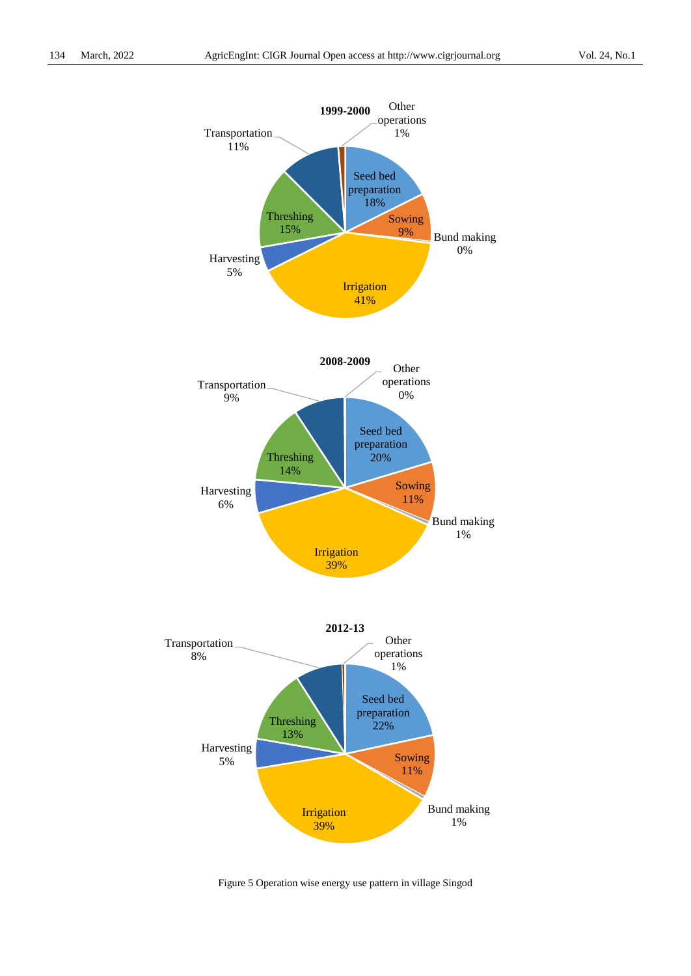

Figure 5 Operation wise energy use pattern in village Singod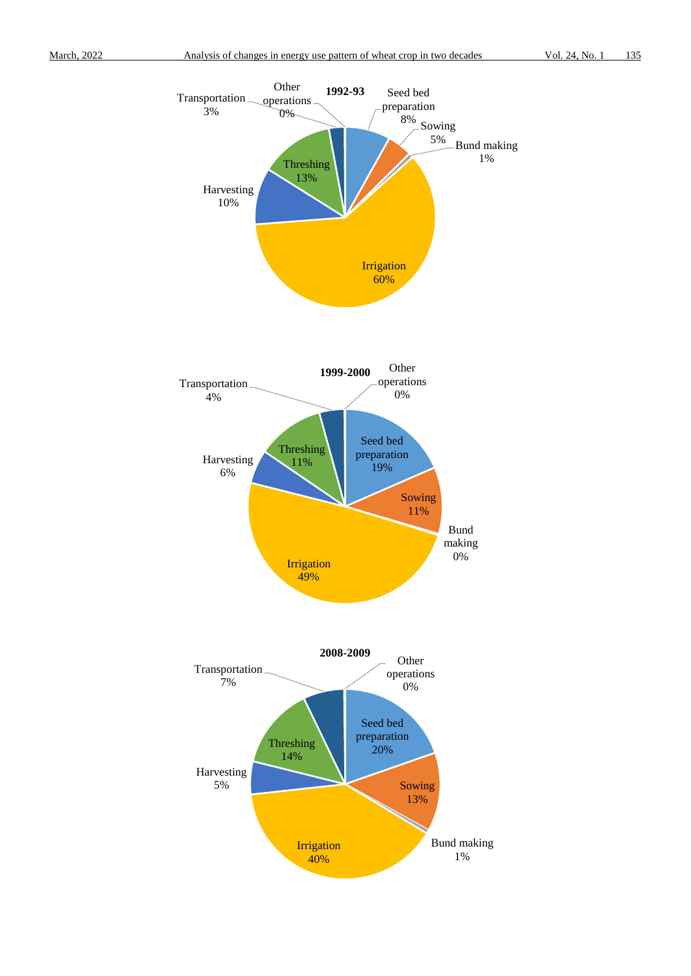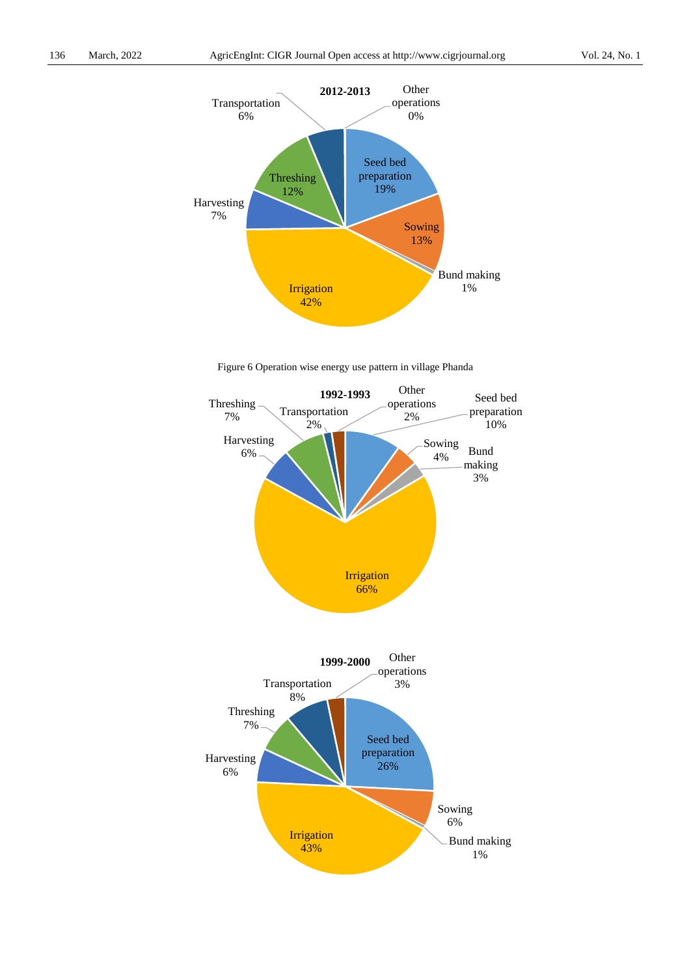

Figure 6 Operation wise energy use pattern in village Phanda

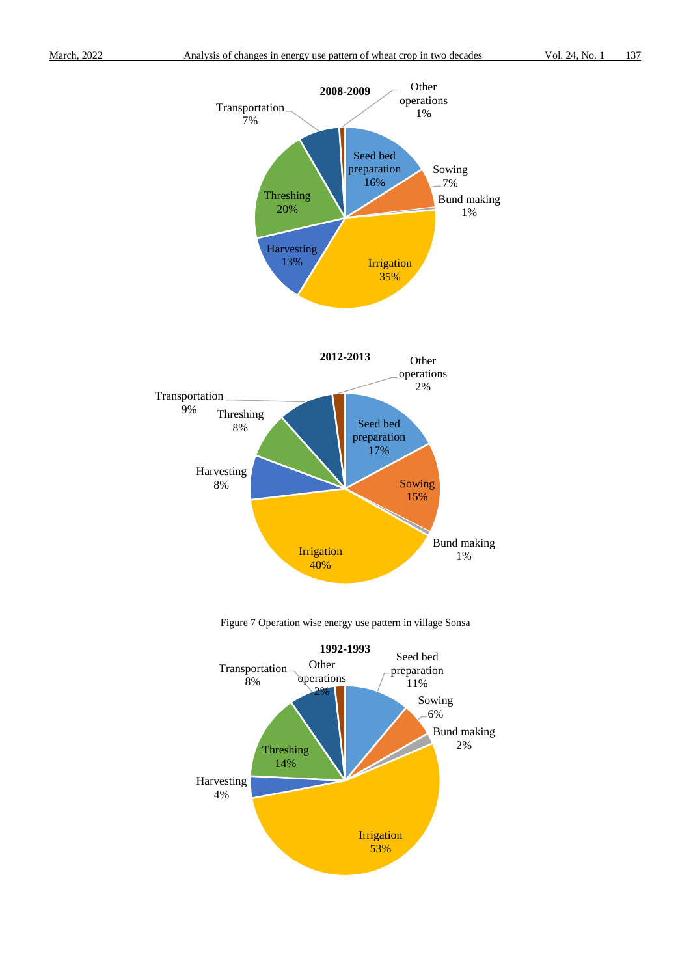



Figure 7 Operation wise energy use pattern in village Sonsa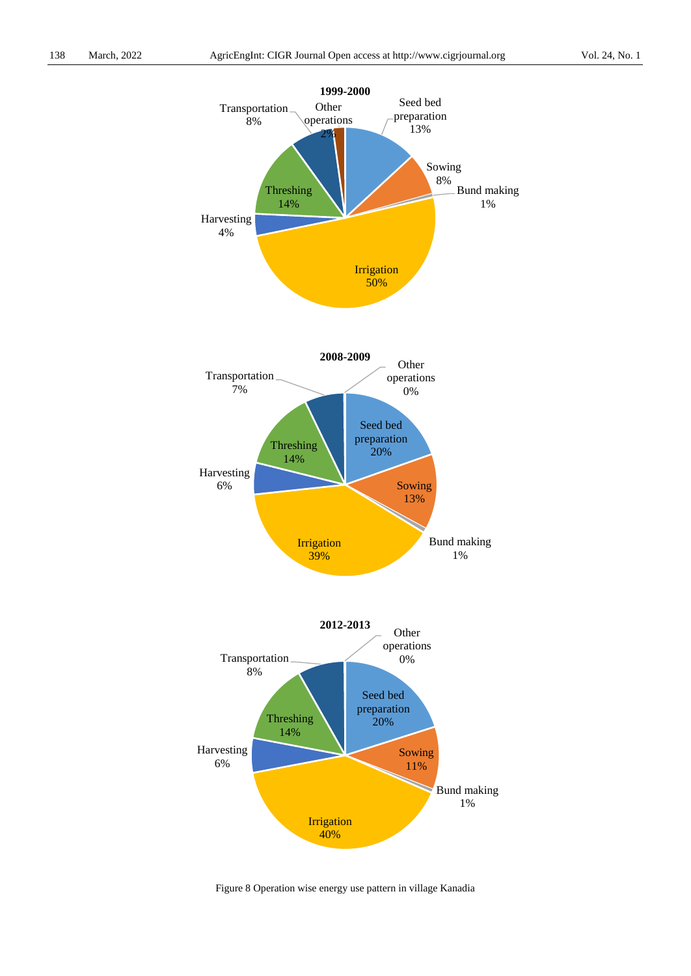

Figure 8 Operation wise energy use pattern in village Kanadia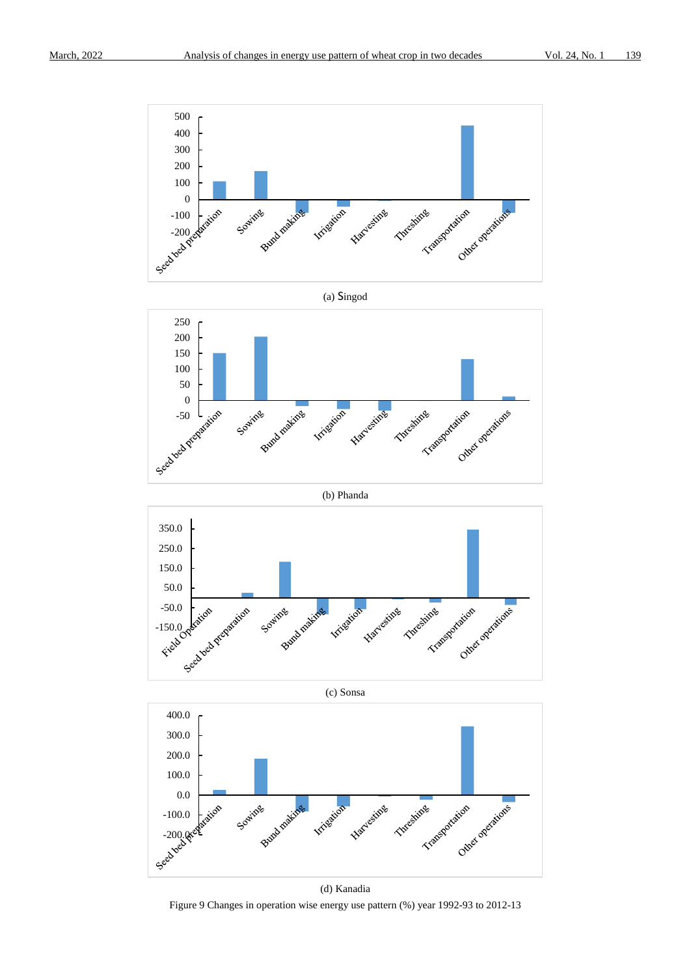













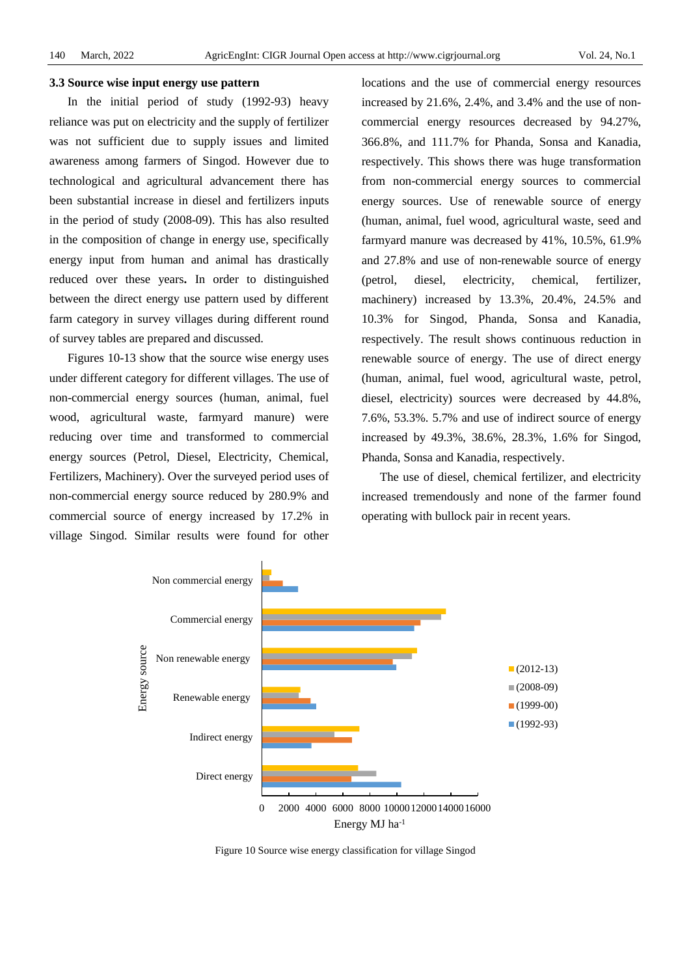#### **3.3 Source wise input energy use pattern**

In the initial period of study (1992-93) heavy reliance was put on electricity and the supply of fertilizer was not sufficient due to supply issues and limited awareness among farmers of Singod. However due to technological and agricultural advancement there has been substantial increase in diesel and fertilizers inputs in the period of study (2008-09). This has also resulted in the composition of change in energy use, specifically energy input from human and animal has drastically reduced over these years**.** In order to distinguished between the direct energy use pattern used by different farm category in survey villages during different round of survey tables are prepared and discussed.

Figures 10-13 show that the source wise energy uses under different category for different villages. The use of non-commercial energy sources (human, animal, fuel wood, agricultural waste, farmyard manure) were reducing over time and transformed to commercial energy sources (Petrol, Diesel, Electricity, Chemical, Fertilizers, Machinery). Over the surveyed period uses of non-commercial energy source reduced by 280.9% and commercial source of energy increased by 17.2% in village Singod. Similar results were found for other

locations and the use of commercial energy resources increased by 21.6%, 2.4%, and 3.4% and the use of noncommercial energy resources decreased by 94.27%, 366.8%, and 111.7% for Phanda, Sonsa and Kanadia, respectively. This shows there was huge transformation from non-commercial energy sources to commercial energy sources. Use of renewable source of energy (human, animal, fuel wood, agricultural waste, seed and farmyard manure was decreased by 41%, 10.5%, 61.9% and 27.8% and use of non-renewable source of energy (petrol, diesel, electricity, chemical, fertilizer, machinery) increased by 13.3%, 20.4%, 24.5% and 10.3% for Singod, Phanda, Sonsa and Kanadia, respectively. The result shows continuous reduction in renewable source of energy. The use of direct energy (human, animal, fuel wood, agricultural waste, petrol, diesel, electricity) sources were decreased by 44.8%, 7.6%, 53.3%. 5.7% and use of indirect source of energy increased by 49.3%, 38.6%, 28.3%, 1.6% for Singod, Phanda, Sonsa and Kanadia, respectively.

The use of diesel, chemical fertilizer, and electricity increased tremendously and none of the farmer found operating with bullock pair in recent years.



Figure 10 Source wise energy classification for village Singod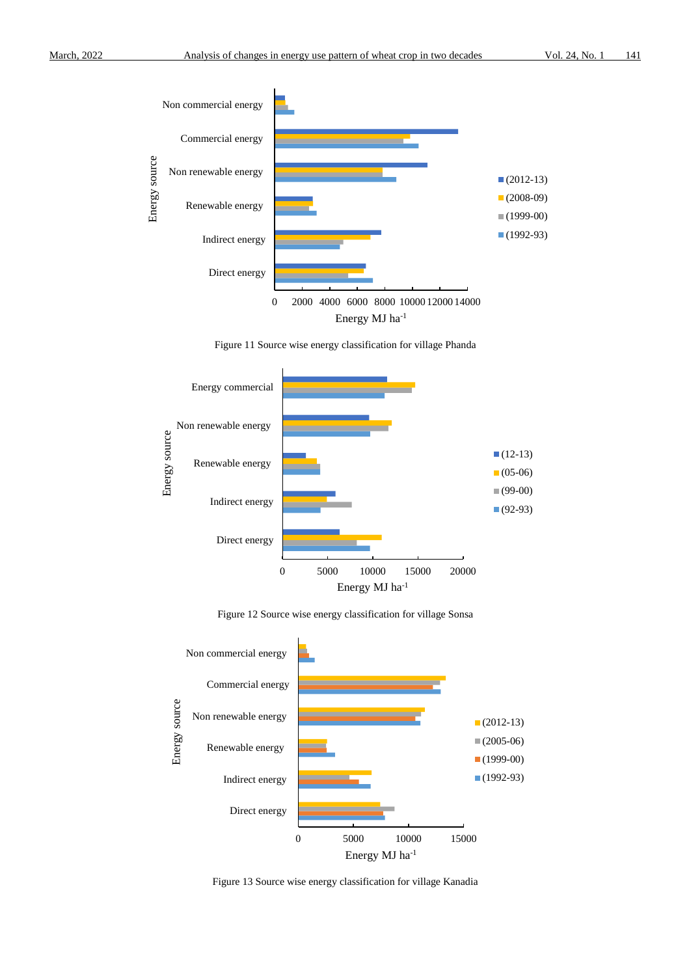

Figure 11 Source wise energy classification for village Phanda







Figure 13 Source wise energy classification for village Kanadia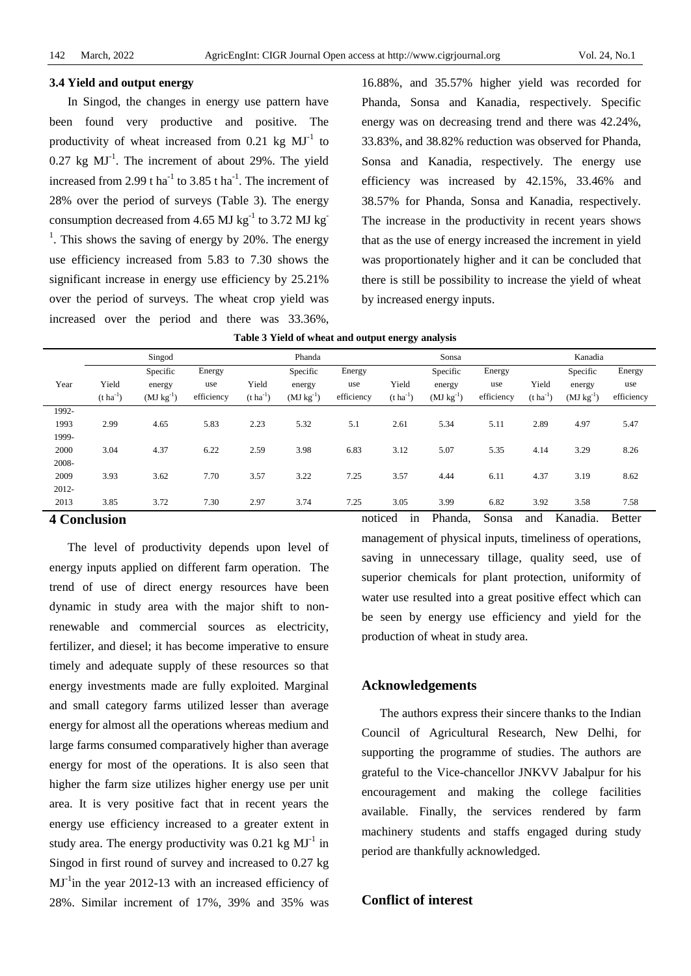#### **3.4 Yield and output energy**

In Singod, the changes in energy use pattern have been found very productive and positive. The productivity of wheat increased from 0.21 kg  $MI<sup>-1</sup>$  to  $0.27$  kg  $MJ^{-1}$ . The increment of about 29%. The yield increased from 2.99 t ha<sup>-1</sup> to 3.85 t ha<sup>-1</sup>. The increment of 28% over the period of surveys (Table 3). The energy consumption decreased from 4.65 MJ  $kg^{-1}$  to 3.72 MJ kg  $<sup>1</sup>$ . This shows the saving of energy by 20%. The energy</sup> use efficiency increased from 5.83 to 7.30 shows the significant increase in energy use efficiency by 25.21% over the period of surveys. The wheat crop yield was increased over the period and there was 33.36%,

16.88%, and 35.57% higher yield was recorded for Phanda, Sonsa and Kanadia, respectively. Specific energy was on decreasing trend and there was 42.24%, 33.83%, and 38.82% reduction was observed for Phanda, Sonsa and Kanadia, respectively. The energy use efficiency was increased by 42.15%, 33.46% and 38.57% for Phanda, Sonsa and Kanadia, respectively. The increase in the productivity in recent years shows that as the use of energy increased the increment in yield was proportionately higher and it can be concluded that there is still be possibility to increase the yield of wheat by increased energy inputs.

| Table 3 Yield of wheat and output energy analysis |
|---------------------------------------------------|
|---------------------------------------------------|

|              |                  | Singod<br>Phanda |            |                  |                | Sonsa      |                  |                |            | Kanadia               |                |               |
|--------------|------------------|------------------|------------|------------------|----------------|------------|------------------|----------------|------------|-----------------------|----------------|---------------|
|              |                  | Specific         | Energy     |                  | Specific       | Energy     |                  | Specific       | Energy     |                       | Specific       | Energy        |
| Year         | Yield            | energy           | use        | Yield            | energy         | use        | Yield            | energy         | use        | Yield                 | energy         | use           |
|              | $(t \, ha^{-1})$ | $(MJ kg^{-1})$   | efficiency | $(t \, ha^{-1})$ | $(MJ kg^{-1})$ | efficiency | $(t \, ha^{-1})$ | $(MJ kg^{-1})$ | efficiency | $(t \text{ ha}^{-1})$ | $(MJ kg^{-1})$ | efficiency    |
| 1992-        |                  |                  |            |                  |                |            |                  |                |            |                       |                |               |
| 1993         | 2.99             | 4.65             | 5.83       | 2.23             | 5.32           | 5.1        | 2.61             | 5.34           | 5.11       | 2.89                  | 4.97           | 5.47          |
| 1999-        |                  |                  |            |                  |                |            |                  |                |            |                       |                |               |
| 2000         | 3.04             | 4.37             | 6.22       | 2.59             | 3.98           | 6.83       | 3.12             | 5.07           | 5.35       | 4.14                  | 3.29           | 8.26          |
| 2008-        |                  |                  |            |                  |                |            |                  |                |            |                       |                |               |
| 2009         | 3.93             | 3.62             | 7.70       | 3.57             | 3.22           | 7.25       | 3.57             | 4.44           | 6.11       | 4.37                  | 3.19           | 8.62          |
| 2012-        |                  |                  |            |                  |                |            |                  |                |            |                       |                |               |
| 2013         | 3.85             | 3.72             | 7.30       | 2.97             | 3.74           | 7.25       | 3.05             | 3.99           | 6.82       | 3.92                  | 3.58           | 7.58          |
| 4 Conclusion |                  |                  |            |                  |                |            | noticed<br>1n    | Phanda.        | Sonsa      | and                   | Kanadia.       | <b>Better</b> |

# **4 Conclusion**

The level of productivity depends upon level of energy inputs applied on different farm operation. The trend of use of direct energy resources have been dynamic in study area with the major shift to nonrenewable and commercial sources as electricity, fertilizer, and diesel; it has become imperative to ensure timely and adequate supply of these resources so that energy investments made are fully exploited. Marginal and small category farms utilized lesser than average energy for almost all the operations whereas medium and large farms consumed comparatively higher than average energy for most of the operations. It is also seen that higher the farm size utilizes higher energy use per unit area. It is very positive fact that in recent years the energy use efficiency increased to a greater extent in study area. The energy productivity was  $0.21 \text{ kg } MJ^{-1}$  in Singod in first round of survey and increased to 0.27 kg  $MJ<sup>-1</sup>$ in the year 2012-13 with an increased efficiency of 28%. Similar increment of 17%, 39% and 35% was

management of physical inputs, timeliness of operations, saving in unnecessary tillage, quality seed, use of superior chemicals for plant protection, uniformity of water use resulted into a great positive effect which can be seen by energy use efficiency and yield for the production of wheat in study area.

#### **Acknowledgements**

The authors express their sincere thanks to the Indian Council of Agricultural Research, New Delhi, for supporting the programme of studies. The authors are grateful to the Vice-chancellor JNKVV Jabalpur for his encouragement and making the college facilities available. Finally, the services rendered by farm machinery students and staffs engaged during study period are thankfully acknowledged.

## **Conflict of interest**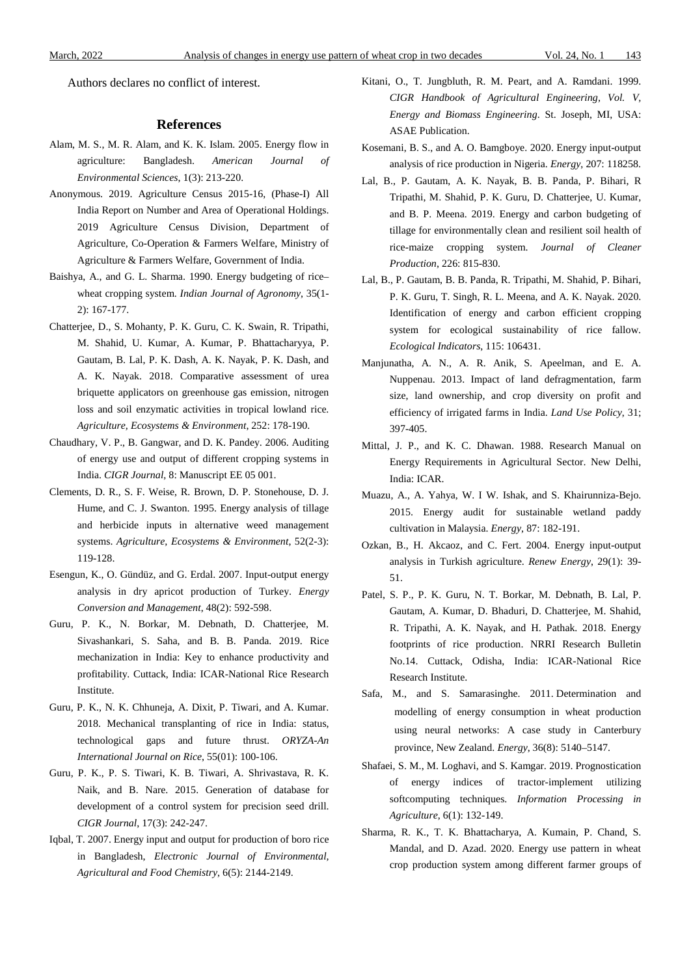Authors declares no conflict of interest.

#### **References**

- Alam, M. S., M. R. Alam, and K. K. Islam. 2005. Energy flow in agriculture: Bangladesh. *American Journal of Environmental Sciences*, 1(3): 213-220.
- Anonymous. 2019. Agriculture Census 2015-16, (Phase-I) All India Report on Number and Area of Operational Holdings. 2019 Agriculture Census Division, Department of Agriculture, Co-Operation & Farmers Welfare, Ministry of Agriculture & Farmers Welfare, Government of India.
- Baishya, A., and G. L. Sharma. 1990. Energy budgeting of rice– wheat cropping system. *Indian Journal of Agronomy*, 35(1- 2): 167-177.
- Chatterjee, D., S. Mohanty, P. K. Guru, C. K. Swain, R. Tripathi, M. Shahid, U. Kumar, A. Kumar, P. Bhattacharyya, P. Gautam, B. Lal, P. K. Dash, A. K. Nayak, P. K. Dash, and A. K. Nayak. 2018. Comparative assessment of urea briquette applicators on greenhouse gas emission, nitrogen loss and soil enzymatic activities in tropical lowland rice. *Agriculture, Ecosystems & Environment*, 252: 178-190.
- Chaudhary, V. P., B. Gangwar, and D. K. Pandey. 2006. Auditing of energy use and output of different cropping systems in India. *CIGR Journal*, 8: Manuscript EE 05 001.
- Clements, D. R., S. F. Weise, R. Brown, D. P. Stonehouse, D. J. Hume, and C. J. Swanton. 1995. Energy analysis of tillage and herbicide inputs in alternative weed management systems. *Agriculture, Ecosystems & Environment*, 52(2-3): 119-128.
- Esengun, K., O. Gündüz, and G. Erdal. 2007. Input-output energy analysis in dry apricot production of Turkey. *Energy Conversion and Management*, 48(2): 592-598.
- Guru, P. K., N. Borkar, M. Debnath, D. Chatterjee, M. Sivashankari, S. Saha, and B. B. Panda. 2019. Rice mechanization in India: Key to enhance productivity and profitability. Cuttack, India: ICAR-National Rice Research Institute.
- Guru, P. K., N. K. Chhuneja, A. Dixit, P. Tiwari, and A. Kumar. 2018. Mechanical transplanting of rice in India: status, technological gaps and future thrust. *ORYZA-An International Journal on Rice*, 55(01): 100-106.
- Guru, P. K., P. S. Tiwari, K. B. Tiwari, A. Shrivastava, R. K. Naik, and B. Nare. 2015. Generation of database for development of a control system for precision seed drill. *CIGR Journal*, 17(3): 242-247.
- Iqbal, T. 2007. Energy input and output for production of boro rice in Bangladesh, *Electronic Journal of Environmental, Agricultural and Food Chemistry*, 6(5): 2144-2149.
- Kitani, O., T. Jungbluth, R. M. Peart, and A. Ramdani. 1999. *CIGR Handbook of Agricultural Engineering, Vol. V, Energy and Biomass Engineering*. St. Joseph, MI, USA: ASAE Publication.
- Kosemani, B. S., and A. O. Bamgboye. 2020. Energy input-output analysis of rice production in Nigeria. *Energy*, 207: 118258.
- Lal, B., P. Gautam, A. K. Nayak, B. B. Panda, P. Bihari, R Tripathi, M. Shahid, P. K. Guru, D. Chatterjee, U. Kumar, and B. P. Meena. 2019. Energy and carbon budgeting of tillage for environmentally clean and resilient soil health of rice-maize cropping system. *Journal of Cleaner Production*, 226: 815-830.
- Lal, B., P. Gautam, B. B. Panda, R. Tripathi, M. Shahid, P. Bihari, P. K. Guru, T. Singh, R. L. Meena, and A. K. Nayak. 2020. Identification of energy and carbon efficient cropping system for ecological sustainability of rice fallow. *Ecological Indicators*, 115: 106431.
- Manjunatha, A. N., A. R. Anik, S. Apeelman, and E. A. Nuppenau. 2013. Impact of land defragmentation, farm size, land ownership, and crop diversity on profit and efficiency of irrigated farms in India. *Land Use Policy*, 31; 397-405.
- Mittal, J. P., and K. C. Dhawan. 1988. Research Manual on Energy Requirements in Agricultural Sector. New Delhi, India: ICAR.
- Muazu, A., A. Yahya, W. I W. Ishak, and S. Khairunniza-Bejo. 2015. Energy audit for sustainable wetland paddy cultivation in Malaysia. *Energy*, 87: 182-191.
- Ozkan, B., H. Akcaoz, and C. Fert. 2004. Energy input-output analysis in Turkish agriculture. *Renew Energy*, 29(1): 39- 51.
- Patel, S. P., P. K. Guru, N. T. Borkar, M. Debnath, B. Lal, P. Gautam, A. Kumar, D. Bhaduri, D. Chatterjee, M. Shahid, R. Tripathi, A. K. Nayak, and H. Pathak. 2018. Energy footprints of rice production. NRRI Research Bulletin No.14. Cuttack, Odisha, India: ICAR-National Rice Research Institute.
- Safa, M., and S. Samarasinghe. 2011. Determination and modelling of energy consumption in wheat production using neural networks: A case study in Canterbury province, New Zealand. *Energy*, 36(8): 5140–5147.
- Shafaei, S. M., M. Loghavi, and S. Kamgar. 2019. Prognostication of energy indices of tractor-implement utilizing softcomputing techniques. *Information Processing in Agriculture*, 6(1): 132-149.
- Sharma, R. K., T. K. Bhattacharya, A. Kumain, P. Chand, S. Mandal, and D. Azad. 2020. Energy use pattern in wheat crop production system among different farmer groups of